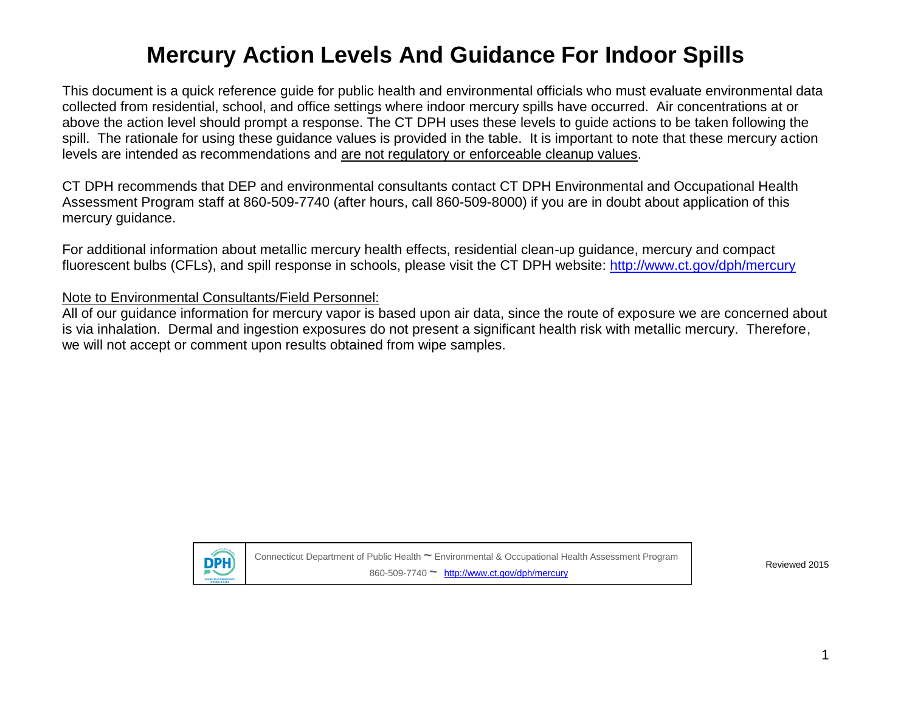This document is a quick reference guide for public health and environmental officials who must evaluate environmental data collected from residential, school, and office settings where indoor mercury spills have occurred. Air concentrations at or above the action level should prompt a response. The CT DPH uses these levels to guide actions to be taken following the spill. The rationale for using these guidance values is provided in the table. It is important to note that these mercury action levels are intended as recommendations and are not regulatory or enforceable cleanup values.

CT DPH recommends that DEP and environmental consultants contact CT DPH Environmental and Occupational Health Assessment Program staff at 860-509-7740 (after hours, call 860-509-8000) if you are in doubt about application of this mercury guidance.

For additional information about metallic mercury health effects, residential clean-up guidance, mercury and compact fluorescent bulbs (CFLs), and spill response in schools, please visit the CT DPH website:<http://www.ct.gov/dph/mercury>

#### Note to Environmental Consultants/Field Personnel:

All of our guidance information for mercury vapor is based upon air data, since the route of exposure we are concerned about is via inhalation. Dermal and ingestion exposures do not present a significant health risk with metallic mercury. Therefore, we will not accept or comment upon results obtained from wipe samples.



Connecticut Department of Public Health **~** Environmental & Occupational Health Assessment Program 860-509-7740 **~** <http://www.ct.gov/dph/mercury>

Reviewed 2015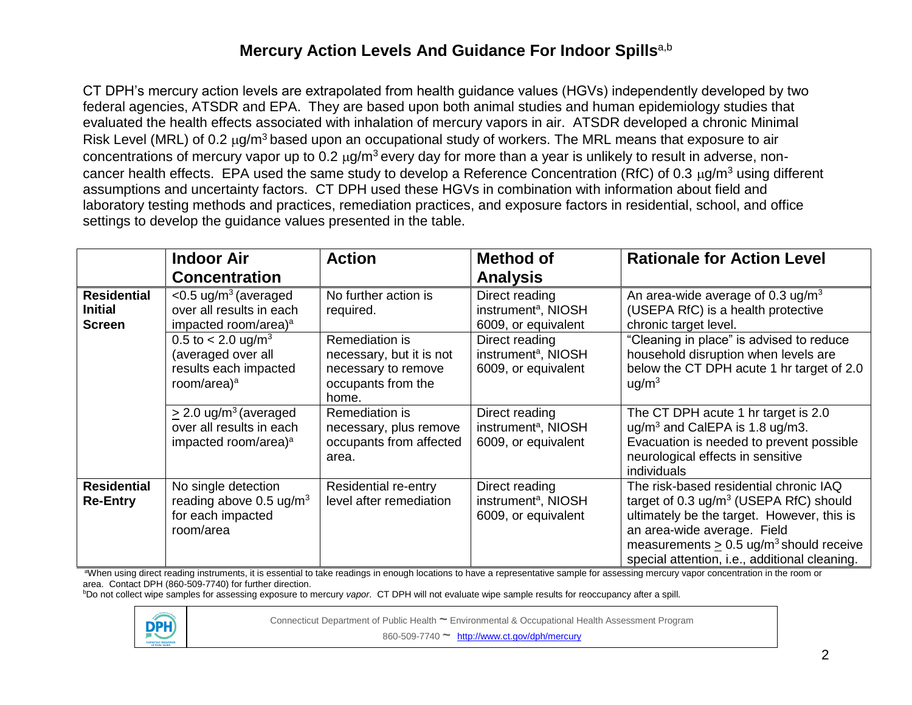CT DPH's mercury action levels are extrapolated from health guidance values (HGVs) independently developed by two federal agencies, ATSDR and EPA. They are based upon both animal studies and human epidemiology studies that evaluated the health effects associated with inhalation of mercury vapors in air. ATSDR developed a chronic Minimal Risk Level (MRL) of 0.2 µg/m<sup>3</sup> based upon an occupational study of workers. The MRL means that exposure to air concentrations of mercury vapor up to 0.2  $\mu$ g/m<sup>3</sup> every day for more than a year is unlikely to result in adverse, noncancer health effects. EPA used the same study to develop a Reference Concentration (RfC) of 0.3  $\mu q/m^3$  using different assumptions and uncertainty factors. CT DPH used these HGVs in combination with information about field and laboratory testing methods and practices, remediation practices, and exposure factors in residential, school, and office settings to develop the guidance values presented in the table.

|                                                       | <b>Indoor Air</b><br><b>Concentration</b>                                                                  | <b>Action</b>                                                                                    | <b>Method of</b><br><b>Analysis</b>                                      | <b>Rationale for Action Level</b>                                                                                                                                                                                                                                                  |
|-------------------------------------------------------|------------------------------------------------------------------------------------------------------------|--------------------------------------------------------------------------------------------------|--------------------------------------------------------------------------|------------------------------------------------------------------------------------------------------------------------------------------------------------------------------------------------------------------------------------------------------------------------------------|
| <b>Residential</b><br><b>Initial</b><br><b>Screen</b> | $<$ 0.5 ug/m <sup>3</sup> (averaged<br>over all results in each<br>impacted room/area) <sup>a</sup>        | No further action is<br>required.                                                                | Direct reading<br>instrument <sup>a</sup> , NIOSH<br>6009, or equivalent | An area-wide average of 0.3 $\mu$ g/m <sup>3</sup><br>(USEPA RfC) is a health protective<br>chronic target level.                                                                                                                                                                  |
|                                                       | 0.5 to $< 2.0$ ug/m <sup>3</sup><br>(averaged over all<br>results each impacted<br>room/area) <sup>a</sup> | Remediation is<br>necessary, but it is not<br>necessary to remove<br>occupants from the<br>home. | Direct reading<br>instrument <sup>a</sup> , NIOSH<br>6009, or equivalent | "Cleaning in place" is advised to reduce<br>household disruption when levels are<br>below the CT DPH acute 1 hr target of 2.0<br>uq/m <sup>3</sup>                                                                                                                                 |
|                                                       | $\geq$ 2.0 ug/m <sup>3</sup> (averaged<br>over all results in each<br>impacted room/area) <sup>a</sup>     | Remediation is<br>necessary, plus remove<br>occupants from affected<br>area.                     | Direct reading<br>instrument <sup>a</sup> , NIOSH<br>6009, or equivalent | The CT DPH acute 1 hr target is 2.0<br>$\mu$ g/m <sup>3</sup> and CalEPA is 1.8 $\mu$ g/m3.<br>Evacuation is needed to prevent possible<br>neurological effects in sensitive<br>individuals                                                                                        |
| <b>Residential</b><br><b>Re-Entry</b>                 | No single detection<br>reading above 0.5 $\mu$ g/m <sup>3</sup><br>for each impacted<br>room/area          | Residential re-entry<br>level after remediation                                                  | Direct reading<br>instrument <sup>a</sup> , NIOSH<br>6009, or equivalent | The risk-based residential chronic IAQ<br>target of $0.3 \text{ ug/m}^3$ (USEPA RfC) should<br>ultimately be the target. However, this is<br>an area-wide average. Field<br>measurements $> 0.5$ ug/m <sup>3</sup> should receive<br>special attention, i.e., additional cleaning. |

<sup>a</sup>When using direct reading instruments, it is essential to take readings in enough locations to have a representative sample for assessing mercury vapor concentration in the room or area. Contact DPH (860-509-7740) for further direction.

<sup>b</sup>Do not collect wipe samples for assessing exposure to mercury *vapor*. CT DPH will not evaluate wipe sample results for reoccupancy after a spill.



Connecticut Department of Public Health **~** Environmental & Occupational Health Assessment Program

860-509-7740 **~** <http://www.ct.gov/dph/mercury>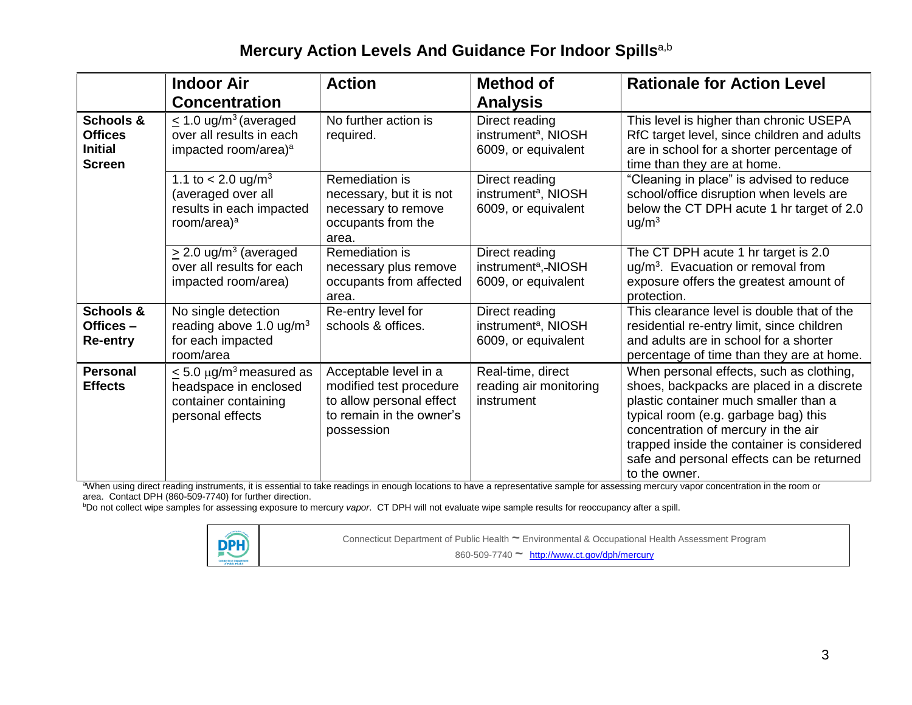|                                                                | <b>Indoor Air</b><br><b>Concentration</b>                                                                     | <b>Action</b>                                                                                                          | <b>Method of</b><br><b>Analysis</b>                                      | <b>Rationale for Action Level</b>                                                                                                                                                                                                                                                                                         |
|----------------------------------------------------------------|---------------------------------------------------------------------------------------------------------------|------------------------------------------------------------------------------------------------------------------------|--------------------------------------------------------------------------|---------------------------------------------------------------------------------------------------------------------------------------------------------------------------------------------------------------------------------------------------------------------------------------------------------------------------|
| Schools &<br><b>Offices</b><br><b>Initial</b><br><b>Screen</b> | $\leq$ 1.0 ug/m <sup>3</sup> (averaged<br>over all results in each<br>impacted room/area) <sup>a</sup>        | No further action is<br>required.                                                                                      | Direct reading<br>instrument <sup>a</sup> , NIOSH<br>6009, or equivalent | This level is higher than chronic USEPA<br>RfC target level, since children and adults<br>are in school for a shorter percentage of<br>time than they are at home.                                                                                                                                                        |
|                                                                | 1.1 to $< 2.0$ ug/m <sup>3</sup><br>(averaged over all<br>results in each impacted<br>room/area) <sup>a</sup> | Remediation is<br>necessary, but it is not<br>necessary to remove<br>occupants from the<br>area.                       | Direct reading<br>instrument <sup>a</sup> , NIOSH<br>6009, or equivalent | "Cleaning in place" is advised to reduce<br>school/office disruption when levels are<br>below the CT DPH acute 1 hr target of 2.0<br>u g/m <sup>3</sup>                                                                                                                                                                   |
|                                                                | $\geq$ 2.0 ug/m <sup>3</sup> (averaged<br>over all results for each<br>impacted room/area)                    | Remediation is<br>necessary plus remove<br>occupants from affected<br>area.                                            | Direct reading<br>instrument <sup>a</sup> ,-NIOSH<br>6009, or equivalent | The CT DPH acute 1 hr target is 2.0<br>ug/m <sup>3</sup> . Evacuation or removal from<br>exposure offers the greatest amount of<br>protection.                                                                                                                                                                            |
| Schools &<br>Offices-<br><b>Re-entry</b>                       | No single detection<br>reading above 1.0 $\mu$ g/m <sup>3</sup><br>for each impacted<br>room/area             | Re-entry level for<br>schools & offices.                                                                               | Direct reading<br>instrument <sup>a</sup> , NIOSH<br>6009, or equivalent | This clearance level is double that of the<br>residential re-entry limit, since children<br>and adults are in school for a shorter<br>percentage of time than they are at home.                                                                                                                                           |
| <b>Personal</b><br><b>Effects</b>                              | $\leq$ 5.0 µg/m <sup>3</sup> measured as<br>headspace in enclosed<br>container containing<br>personal effects | Acceptable level in a<br>modified test procedure<br>to allow personal effect<br>to remain in the owner's<br>possession | Real-time, direct<br>reading air monitoring<br>instrument                | When personal effects, such as clothing,<br>shoes, backpacks are placed in a discrete<br>plastic container much smaller than a<br>typical room (e.g. garbage bag) this<br>concentration of mercury in the air<br>trapped inside the container is considered<br>safe and personal effects can be returned<br>to the owner. |

aWhen using direct reading instruments, it is essential to take readings in enough locations to have a representative sample for assessing mercury vapor concentration in the room or area. Contact DPH (860-509-7740) for further direction.

<sup>b</sup>Do not collect wipe samples for assessing exposure to mercury *vapor*. CT DPH will not evaluate wipe sample results for reoccupancy after a spill.



Connecticut Department of Public Health **~** Environmental & Occupational Health Assessment Program

860-509-7740 **~** <http://www.ct.gov/dph/mercury>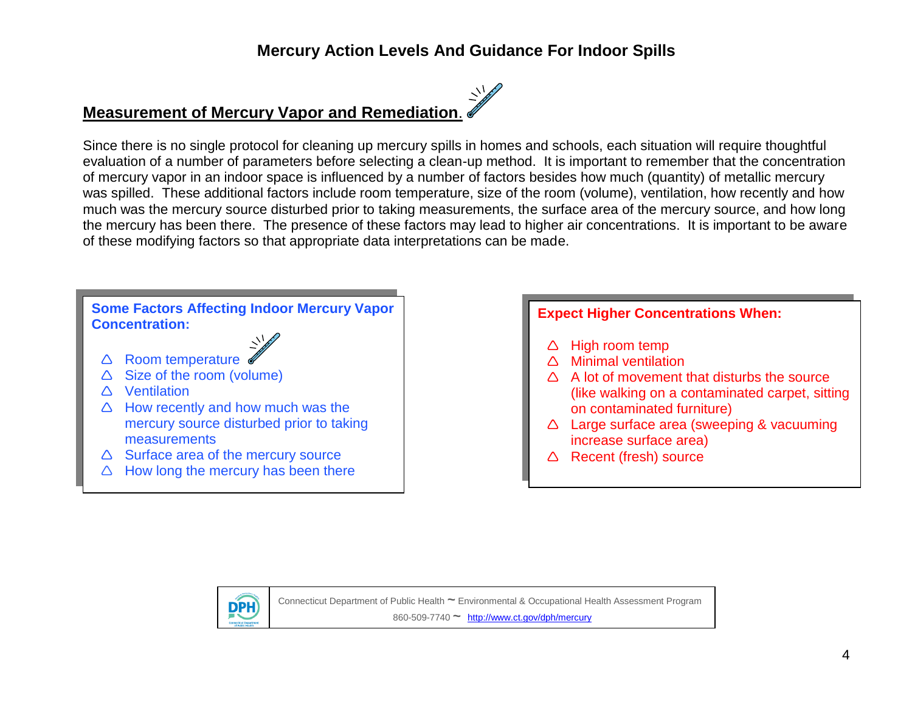# **Measurement of Mercury Vapor and Remediation**.

Since there is no single protocol for cleaning up mercury spills in homes and schools, each situation will require thoughtful evaluation of a number of parameters before selecting a clean-up method. It is important to remember that the concentration of mercury vapor in an indoor space is influenced by a number of factors besides how much (quantity) of metallic mercury was spilled. These additional factors include room temperature, size of the room (volume), ventilation, how recently and how much was the mercury source disturbed prior to taking measurements, the surface area of the mercury source, and how long the mercury has been there. The presence of these factors may lead to higher air concentrations. It is important to be aware of these modifying factors so that appropriate data interpretations can be made.

#### **Some Factors Affecting Indoor Mercury Vapor Concentration:**

- $\triangle$  Room temperature
- $\triangle$  Size of the room (volume)
- △ Ventilation
- $\triangle$  How recently and how much was the mercury source disturbed prior to taking **measurements**
- $\triangle$  Surface area of the mercury source
- $\triangle$  How long the mercury has been there

#### **Expect Higher Concentrations When:**

- High room temp
- $\triangle$  Minimal ventilation
- $\triangle$  A lot of movement that disturbs the source (like walking on a contaminated carpet, sitting on contaminated furniture)
- △ Large surface area (sweeping & vacuuming increase surface area)
- $\triangle$  Recent (fresh) source



Connecticut Department of Public Health **~** Environmental & Occupational Health Assessment Program 860-509-7740 **~** <http://www.ct.gov/dph/mercury>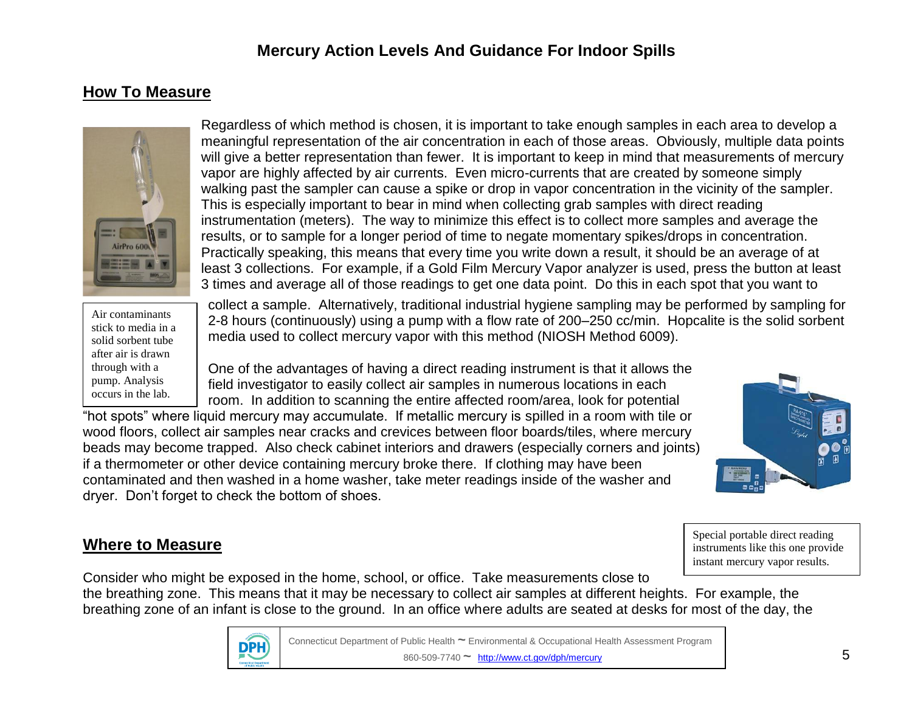### **How To Measure**



Regardless of which method is chosen, it is important to take enough samples in each area to develop a meaningful representation of the air concentration in each of those areas. Obviously, multiple data points will give a better representation than fewer. It is important to keep in mind that measurements of mercury vapor are highly affected by air currents. Even micro-currents that are created by someone simply walking past the sampler can cause a spike or drop in vapor concentration in the vicinity of the sampler. This is especially important to bear in mind when collecting grab samples with direct reading instrumentation (meters). The way to minimize this effect is to collect more samples and average the results, or to sample for a longer period of time to negate momentary spikes/drops in concentration. Practically speaking, this means that every time you write down a result, it should be an average of at least 3 collections. For example, if a Gold Film Mercury Vapor analyzer is used, press the button at least 3 times and average all of those readings to get one data point. Do this in each spot that you want to

Air contaminants stick to media in a solid sorbent tube after air is drawn through with a pump. Analysis occurs in the lab.

collect a sample. Alternatively, traditional industrial hygiene sampling may be performed by sampling for 2-8 hours (continuously) using a pump with a flow rate of 200–250 cc/min. Hopcalite is the solid sorbent media used to collect mercury vapor with this method (NIOSH Method 6009).

One of the advantages of having a direct reading instrument is that it allows the field investigator to easily collect air samples in numerous locations in each room. In addition to scanning the entire affected room/area, look for potential

"hot spots" where liquid mercury may accumulate. If metallic mercury is spilled in a room with tile or wood floors, collect air samples near cracks and crevices between floor boards/tiles, where mercury beads may become trapped. Also check cabinet interiors and drawers (especially corners and joints) if a thermometer or other device containing mercury broke there. If clothing may have been contaminated and then washed in a home washer, take meter readings inside of the washer and dryer. Don't forget to check the bottom of shoes.



#### **Where to Measure**

Special portable direct reading instruments like this one provide instant mercury vapor results.

Consider who might be exposed in the home, school, or office. Take measurements close to the breathing zone. This means that it may be necessary to collect air samples at different heights. For example, the breathing zone of an infant is close to the ground. In an office where adults are seated at desks for most of the day, the



Connecticut Department of Public Health **~** Environmental & Occupational Health Assessment Program 860-509-7740 **~** <http://www.ct.gov/dph/mercury>